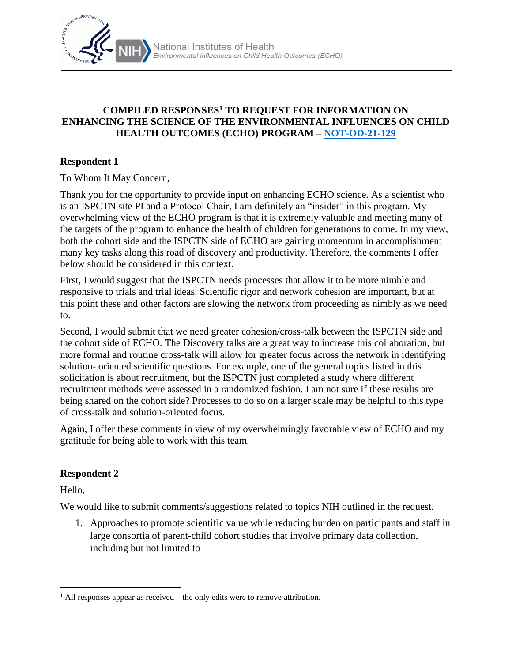

#### **COMPILED RESPONSES<sup>1</sup> TO REQUEST FOR INFORMATION ON ENHANCING THE SCIENCE OF THE ENVIRONMENTAL INFLUENCES ON CHILD HEALTH OUTCOMES (ECHO) PROGRAM – [NOT-OD-21-129](https://grants.nih.gov/grants/guide/notice-files/NOT-OD-21-129.html)**

#### **Respondent 1**

To Whom It May Concern,

Thank you for the opportunity to provide input on enhancing ECHO science. As a scientist who is an ISPCTN site PI and a Protocol Chair, I am definitely an "insider" in this program. My overwhelming view of the ECHO program is that it is extremely valuable and meeting many of the targets of the program to enhance the health of children for generations to come. In my view, both the cohort side and the ISPCTN side of ECHO are gaining momentum in accomplishment many key tasks along this road of discovery and productivity. Therefore, the comments I offer below should be considered in this context.

First, I would suggest that the ISPCTN needs processes that allow it to be more nimble and responsive to trials and trial ideas. Scientific rigor and network cohesion are important, but at this point these and other factors are slowing the network from proceeding as nimbly as we need to.

Second, I would submit that we need greater cohesion/cross-talk between the ISPCTN side and the cohort side of ECHO. The Discovery talks are a great way to increase this collaboration, but more formal and routine cross-talk will allow for greater focus across the network in identifying solution- oriented scientific questions. For example, one of the general topics listed in this solicitation is about recruitment, but the ISPCTN just completed a study where different recruitment methods were assessed in a randomized fashion. I am not sure if these results are being shared on the cohort side? Processes to do so on a larger scale may be helpful to this type of cross-talk and solution-oriented focus.

Again, I offer these comments in view of my overwhelmingly favorable view of ECHO and my gratitude for being able to work with this team.

#### **Respondent 2**

Hello,

We would like to submit comments/suggestions related to topics NIH outlined in the request.

1. Approaches to promote scientific value while reducing burden on participants and staff in large consortia of parent-child cohort studies that involve primary data collection, including but not limited to

<sup>&</sup>lt;sup>1</sup> All responses appear as received – the only edits were to remove attribution.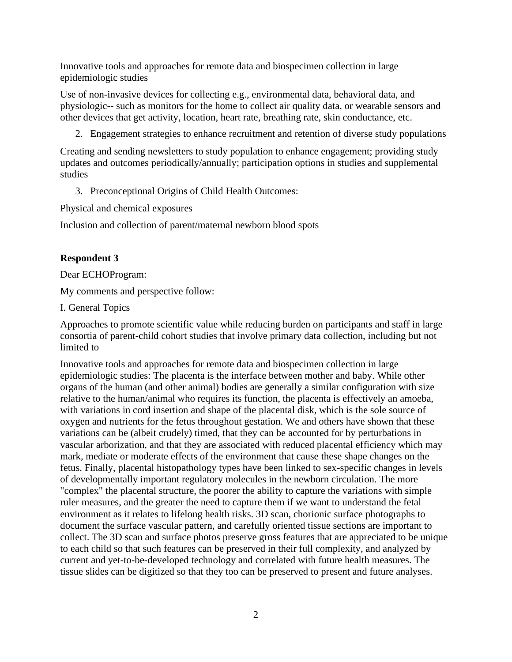Innovative tools and approaches for remote data and biospecimen collection in large epidemiologic studies

Use of non-invasive devices for collecting e.g., environmental data, behavioral data, and physiologic-- such as monitors for the home to collect air quality data, or wearable sensors and other devices that get activity, location, heart rate, breathing rate, skin conductance, etc.

2. Engagement strategies to enhance recruitment and retention of diverse study populations

Creating and sending newsletters to study population to enhance engagement; providing study updates and outcomes periodically/annually; participation options in studies and supplemental studies

3. Preconceptional Origins of Child Health Outcomes:

Physical and chemical exposures

Inclusion and collection of parent/maternal newborn blood spots

## **Respondent 3**

Dear ECHOProgram:

My comments and perspective follow:

I. General Topics

Approaches to promote scientific value while reducing burden on participants and staff in large consortia of parent-child cohort studies that involve primary data collection, including but not limited to

Innovative tools and approaches for remote data and biospecimen collection in large epidemiologic studies: The placenta is the interface between mother and baby. While other organs of the human (and other animal) bodies are generally a similar configuration with size relative to the human/animal who requires its function, the placenta is effectively an amoeba, with variations in cord insertion and shape of the placental disk, which is the sole source of oxygen and nutrients for the fetus throughout gestation. We and others have shown that these variations can be (albeit crudely) timed, that they can be accounted for by perturbations in vascular arborization, and that they are associated with reduced placental efficiency which may mark, mediate or moderate effects of the environment that cause these shape changes on the fetus. Finally, placental histopathology types have been linked to sex-specific changes in levels of developmentally important regulatory molecules in the newborn circulation. The more "complex" the placental structure, the poorer the ability to capture the variations with simple ruler measures, and the greater the need to capture them if we want to understand the fetal environment as it relates to lifelong health risks. 3D scan, chorionic surface photographs to document the surface vascular pattern, and carefully oriented tissue sections are important to collect. The 3D scan and surface photos preserve gross features that are appreciated to be unique to each child so that such features can be preserved in their full complexity, and analyzed by current and yet-to-be-developed technology and correlated with future health measures. The tissue slides can be digitized so that they too can be preserved to present and future analyses.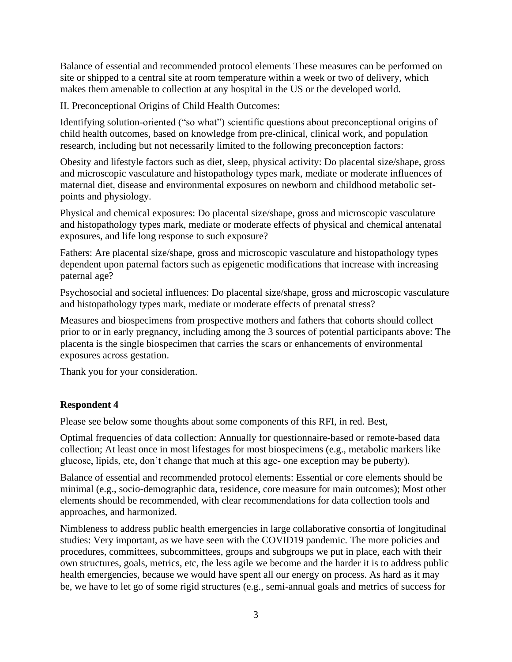Balance of essential and recommended protocol elements These measures can be performed on site or shipped to a central site at room temperature within a week or two of delivery, which makes them amenable to collection at any hospital in the US or the developed world.

II. Preconceptional Origins of Child Health Outcomes:

Identifying solution-oriented ("so what") scientific questions about preconceptional origins of child health outcomes, based on knowledge from pre-clinical, clinical work, and population research, including but not necessarily limited to the following preconception factors:

Obesity and lifestyle factors such as diet, sleep, physical activity: Do placental size/shape, gross and microscopic vasculature and histopathology types mark, mediate or moderate influences of maternal diet, disease and environmental exposures on newborn and childhood metabolic setpoints and physiology.

Physical and chemical exposures: Do placental size/shape, gross and microscopic vasculature and histopathology types mark, mediate or moderate effects of physical and chemical antenatal exposures, and life long response to such exposure?

Fathers: Are placental size/shape, gross and microscopic vasculature and histopathology types dependent upon paternal factors such as epigenetic modifications that increase with increasing paternal age?

Psychosocial and societal influences: Do placental size/shape, gross and microscopic vasculature and histopathology types mark, mediate or moderate effects of prenatal stress?

Measures and biospecimens from prospective mothers and fathers that cohorts should collect prior to or in early pregnancy, including among the 3 sources of potential participants above: The placenta is the single biospecimen that carries the scars or enhancements of environmental exposures across gestation.

Thank you for your consideration.

#### **Respondent 4**

Please see below some thoughts about some components of this RFI, in red. Best,

Optimal frequencies of data collection: Annually for questionnaire-based or remote-based data collection; At least once in most lifestages for most biospecimens (e.g., metabolic markers like glucose, lipids, etc, don't change that much at this age- one exception may be puberty).

Balance of essential and recommended protocol elements: Essential or core elements should be minimal (e.g., socio-demographic data, residence, core measure for main outcomes); Most other elements should be recommended, with clear recommendations for data collection tools and approaches, and harmonized.

Nimbleness to address public health emergencies in large collaborative consortia of longitudinal studies: Very important, as we have seen with the COVID19 pandemic. The more policies and procedures, committees, subcommittees, groups and subgroups we put in place, each with their own structures, goals, metrics, etc, the less agile we become and the harder it is to address public health emergencies, because we would have spent all our energy on process. As hard as it may be, we have to let go of some rigid structures (e.g., semi-annual goals and metrics of success for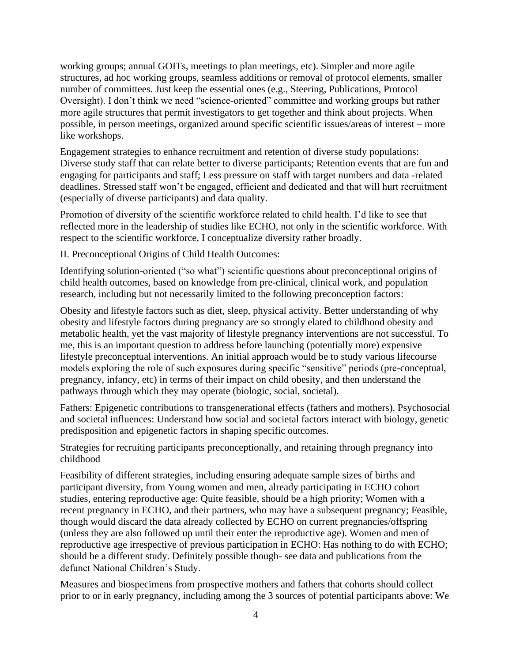working groups; annual GOITs, meetings to plan meetings, etc). Simpler and more agile structures, ad hoc working groups, seamless additions or removal of protocol elements, smaller number of committees. Just keep the essential ones (e.g., Steering, Publications, Protocol Oversight). I don't think we need "science-oriented" committee and working groups but rather more agile structures that permit investigators to get together and think about projects. When possible, in person meetings, organized around specific scientific issues/areas of interest – more like workshops.

Engagement strategies to enhance recruitment and retention of diverse study populations: Diverse study staff that can relate better to diverse participants; Retention events that are fun and engaging for participants and staff; Less pressure on staff with target numbers and data -related deadlines. Stressed staff won't be engaged, efficient and dedicated and that will hurt recruitment (especially of diverse participants) and data quality.

Promotion of diversity of the scientific workforce related to child health. I'd like to see that reflected more in the leadership of studies like ECHO, not only in the scientific workforce. With respect to the scientific workforce, I conceptualize diversity rather broadly.

II. Preconceptional Origins of Child Health Outcomes:

Identifying solution-oriented ("so what") scientific questions about preconceptional origins of child health outcomes, based on knowledge from pre-clinical, clinical work, and population research, including but not necessarily limited to the following preconception factors:

Obesity and lifestyle factors such as diet, sleep, physical activity. Better understanding of why obesity and lifestyle factors during pregnancy are so strongly elated to childhood obesity and metabolic health, yet the vast majority of lifestyle pregnancy interventions are not successful. To me, this is an important question to address before launching (potentially more) expensive lifestyle preconceptual interventions. An initial approach would be to study various lifecourse models exploring the role of such exposures during specific "sensitive" periods (pre-conceptual, pregnancy, infancy, etc) in terms of their impact on child obesity, and then understand the pathways through which they may operate (biologic, social, societal).

Fathers: Epigenetic contributions to transgenerational effects (fathers and mothers). Psychosocial and societal influences: Understand how social and societal factors interact with biology, genetic predisposition and epigenetic factors in shaping specific outcomes.

Strategies for recruiting participants preconceptionally, and retaining through pregnancy into childhood

Feasibility of different strategies, including ensuring adequate sample sizes of births and participant diversity, from Young women and men, already participating in ECHO cohort studies, entering reproductive age: Quite feasible, should be a high priority; Women with a recent pregnancy in ECHO, and their partners, who may have a subsequent pregnancy; Feasible, though would discard the data already collected by ECHO on current pregnancies/offspring (unless they are also followed up until their enter the reproductive age). Women and men of reproductive age irrespective of previous participation in ECHO: Has nothing to do with ECHO; should be a different study. Definitely possible though- see data and publications from the defunct National Children's Study.

Measures and biospecimens from prospective mothers and fathers that cohorts should collect prior to or in early pregnancy, including among the 3 sources of potential participants above: We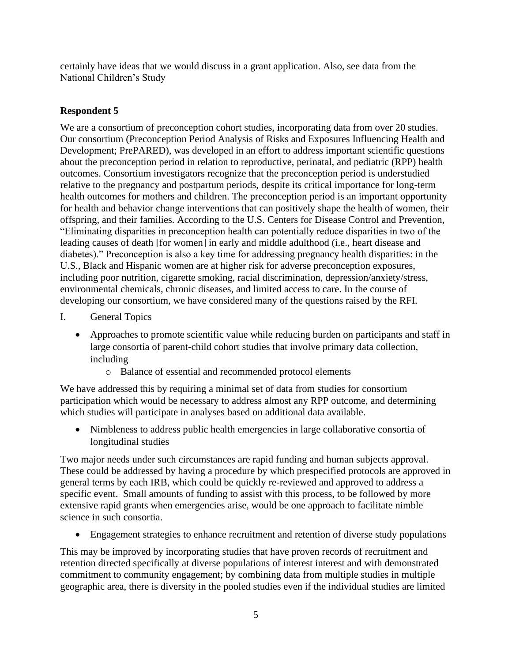certainly have ideas that we would discuss in a grant application. Also, see data from the National Children's Study

## **Respondent 5**

We are a consortium of preconception cohort studies, incorporating data from over 20 studies. Our consortium (Preconception Period Analysis of Risks and Exposures Influencing Health and Development; PrePARED), was developed in an effort to address important scientific questions about the preconception period in relation to reproductive, perinatal, and pediatric (RPP) health outcomes. Consortium investigators recognize that the preconception period is understudied relative to the pregnancy and postpartum periods, despite its critical importance for long-term health outcomes for mothers and children. The preconception period is an important opportunity for health and behavior change interventions that can positively shape the health of women, their offspring, and their families. According to the U.S. Centers for Disease Control and Prevention, "Eliminating disparities in preconception health can potentially reduce disparities in two of the leading causes of death [for women] in early and middle adulthood (i.e., heart disease and diabetes)." Preconception is also a key time for addressing pregnancy health disparities: in the U.S., Black and Hispanic women are at higher risk for adverse preconception exposures, including poor nutrition, cigarette smoking, racial discrimination, depression/anxiety/stress, environmental chemicals, chronic diseases, and limited access to care. In the course of developing our consortium, we have considered many of the questions raised by the RFI.

- I. General Topics
	- Approaches to promote scientific value while reducing burden on participants and staff in large consortia of parent-child cohort studies that involve primary data collection, including
		- o Balance of essential and recommended protocol elements

We have addressed this by requiring a minimal set of data from studies for consortium participation which would be necessary to address almost any RPP outcome, and determining which studies will participate in analyses based on additional data available.

• Nimbleness to address public health emergencies in large collaborative consortia of longitudinal studies

Two major needs under such circumstances are rapid funding and human subjects approval. These could be addressed by having a procedure by which prespecified protocols are approved in general terms by each IRB, which could be quickly re-reviewed and approved to address a specific event. Small amounts of funding to assist with this process, to be followed by more extensive rapid grants when emergencies arise, would be one approach to facilitate nimble science in such consortia.

• Engagement strategies to enhance recruitment and retention of diverse study populations

This may be improved by incorporating studies that have proven records of recruitment and retention directed specifically at diverse populations of interest interest and with demonstrated commitment to community engagement; by combining data from multiple studies in multiple geographic area, there is diversity in the pooled studies even if the individual studies are limited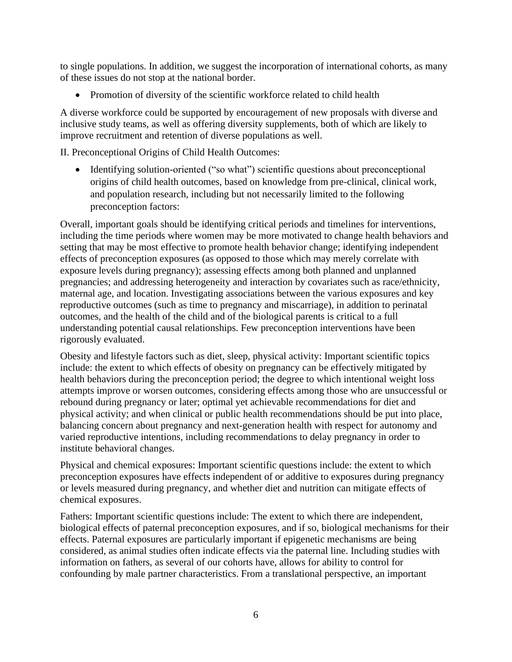to single populations. In addition, we suggest the incorporation of international cohorts, as many of these issues do not stop at the national border.

• Promotion of diversity of the scientific workforce related to child health

A diverse workforce could be supported by encouragement of new proposals with diverse and inclusive study teams, as well as offering diversity supplements, both of which are likely to improve recruitment and retention of diverse populations as well.

II. Preconceptional Origins of Child Health Outcomes:

• Identifying solution-oriented ("so what") scientific questions about preconceptional origins of child health outcomes, based on knowledge from pre-clinical, clinical work, and population research, including but not necessarily limited to the following preconception factors:

Overall, important goals should be identifying critical periods and timelines for interventions, including the time periods where women may be more motivated to change health behaviors and setting that may be most effective to promote health behavior change; identifying independent effects of preconception exposures (as opposed to those which may merely correlate with exposure levels during pregnancy); assessing effects among both planned and unplanned pregnancies; and addressing heterogeneity and interaction by covariates such as race/ethnicity, maternal age, and location. Investigating associations between the various exposures and key reproductive outcomes (such as time to pregnancy and miscarriage), in addition to perinatal outcomes, and the health of the child and of the biological parents is critical to a full understanding potential causal relationships. Few preconception interventions have been rigorously evaluated.

Obesity and lifestyle factors such as diet, sleep, physical activity: Important scientific topics include: the extent to which effects of obesity on pregnancy can be effectively mitigated by health behaviors during the preconception period; the degree to which intentional weight loss attempts improve or worsen outcomes, considering effects among those who are unsuccessful or rebound during pregnancy or later; optimal yet achievable recommendations for diet and physical activity; and when clinical or public health recommendations should be put into place, balancing concern about pregnancy and next-generation health with respect for autonomy and varied reproductive intentions, including recommendations to delay pregnancy in order to institute behavioral changes.

Physical and chemical exposures: Important scientific questions include: the extent to which preconception exposures have effects independent of or additive to exposures during pregnancy or levels measured during pregnancy, and whether diet and nutrition can mitigate effects of chemical exposures.

Fathers: Important scientific questions include: The extent to which there are independent, biological effects of paternal preconception exposures, and if so, biological mechanisms for their effects. Paternal exposures are particularly important if epigenetic mechanisms are being considered, as animal studies often indicate effects via the paternal line. Including studies with information on fathers, as several of our cohorts have, allows for ability to control for confounding by male partner characteristics. From a translational perspective, an important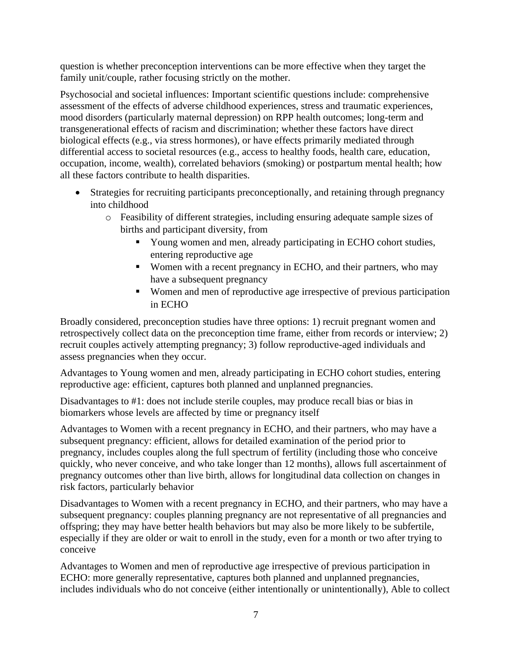question is whether preconception interventions can be more effective when they target the family unit/couple, rather focusing strictly on the mother.

Psychosocial and societal influences: Important scientific questions include: comprehensive assessment of the effects of adverse childhood experiences, stress and traumatic experiences, mood disorders (particularly maternal depression) on RPP health outcomes; long-term and transgenerational effects of racism and discrimination; whether these factors have direct biological effects (e.g., via stress hormones), or have effects primarily mediated through differential access to societal resources (e.g., access to healthy foods, health care, education, occupation, income, wealth), correlated behaviors (smoking) or postpartum mental health; how all these factors contribute to health disparities.

- Strategies for recruiting participants preconceptionally, and retaining through pregnancy into childhood
	- o Feasibility of different strategies, including ensuring adequate sample sizes of births and participant diversity, from
		- Young women and men, already participating in ECHO cohort studies, entering reproductive age
		- Women with a recent pregnancy in ECHO, and their partners, who may have a subsequent pregnancy
		- Women and men of reproductive age irrespective of previous participation in ECHO

Broadly considered, preconception studies have three options: 1) recruit pregnant women and retrospectively collect data on the preconception time frame, either from records or interview; 2) recruit couples actively attempting pregnancy; 3) follow reproductive-aged individuals and assess pregnancies when they occur.

Advantages to Young women and men, already participating in ECHO cohort studies, entering reproductive age: efficient, captures both planned and unplanned pregnancies.

Disadvantages to #1: does not include sterile couples, may produce recall bias or bias in biomarkers whose levels are affected by time or pregnancy itself

Advantages to Women with a recent pregnancy in ECHO, and their partners, who may have a subsequent pregnancy: efficient, allows for detailed examination of the period prior to pregnancy, includes couples along the full spectrum of fertility (including those who conceive quickly, who never conceive, and who take longer than 12 months), allows full ascertainment of pregnancy outcomes other than live birth, allows for longitudinal data collection on changes in risk factors, particularly behavior

Disadvantages to Women with a recent pregnancy in ECHO, and their partners, who may have a subsequent pregnancy: couples planning pregnancy are not representative of all pregnancies and offspring; they may have better health behaviors but may also be more likely to be subfertile, especially if they are older or wait to enroll in the study, even for a month or two after trying to conceive

Advantages to Women and men of reproductive age irrespective of previous participation in ECHO: more generally representative, captures both planned and unplanned pregnancies, includes individuals who do not conceive (either intentionally or unintentionally), Able to collect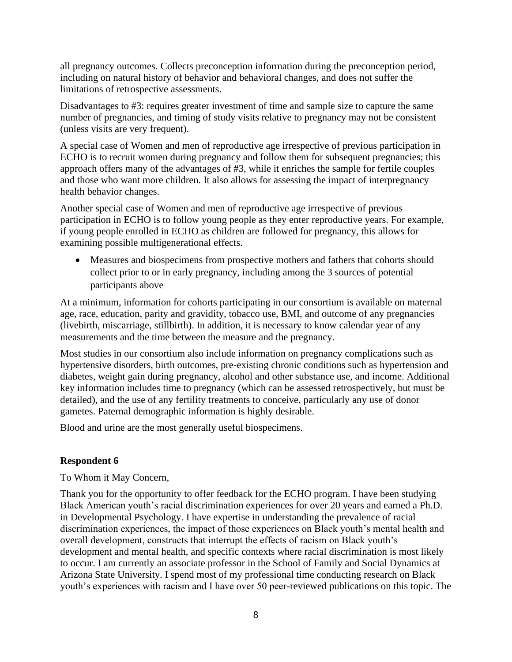all pregnancy outcomes. Collects preconception information during the preconception period, including on natural history of behavior and behavioral changes, and does not suffer the limitations of retrospective assessments.

Disadvantages to #3: requires greater investment of time and sample size to capture the same number of pregnancies, and timing of study visits relative to pregnancy may not be consistent (unless visits are very frequent).

A special case of Women and men of reproductive age irrespective of previous participation in ECHO is to recruit women during pregnancy and follow them for subsequent pregnancies; this approach offers many of the advantages of #3, while it enriches the sample for fertile couples and those who want more children. It also allows for assessing the impact of interpregnancy health behavior changes.

Another special case of Women and men of reproductive age irrespective of previous participation in ECHO is to follow young people as they enter reproductive years. For example, if young people enrolled in ECHO as children are followed for pregnancy, this allows for examining possible multigenerational effects.

• Measures and biospecimens from prospective mothers and fathers that cohorts should collect prior to or in early pregnancy, including among the 3 sources of potential participants above

At a minimum, information for cohorts participating in our consortium is available on maternal age, race, education, parity and gravidity, tobacco use, BMI, and outcome of any pregnancies (livebirth, miscarriage, stillbirth). In addition, it is necessary to know calendar year of any measurements and the time between the measure and the pregnancy.

Most studies in our consortium also include information on pregnancy complications such as hypertensive disorders, birth outcomes, pre-existing chronic conditions such as hypertension and diabetes, weight gain during pregnancy, alcohol and other substance use, and income. Additional key information includes time to pregnancy (which can be assessed retrospectively, but must be detailed), and the use of any fertility treatments to conceive, particularly any use of donor gametes. Paternal demographic information is highly desirable.

Blood and urine are the most generally useful biospecimens.

## **Respondent 6**

To Whom it May Concern,

Thank you for the opportunity to offer feedback for the ECHO program. I have been studying Black American youth's racial discrimination experiences for over 20 years and earned a Ph.D. in Developmental Psychology. I have expertise in understanding the prevalence of racial discrimination experiences, the impact of those experiences on Black youth's mental health and overall development, constructs that interrupt the effects of racism on Black youth's development and mental health, and specific contexts where racial discrimination is most likely to occur. I am currently an associate professor in the School of Family and Social Dynamics at Arizona State University. I spend most of my professional time conducting research on Black youth's experiences with racism and I have over 50 peer-reviewed publications on this topic. The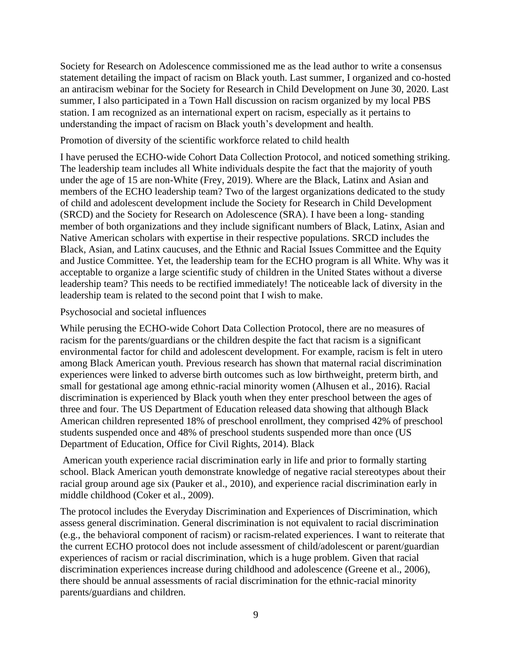Society for Research on Adolescence commissioned me as the lead author to write a consensus statement detailing the impact of racism on Black youth. Last summer, I organized and co-hosted an antiracism webinar for the Society for Research in Child Development on June 30, 2020. Last summer, I also participated in a Town Hall discussion on racism organized by my local PBS station. I am recognized as an international expert on racism, especially as it pertains to understanding the impact of racism on Black youth's development and health.

#### Promotion of diversity of the scientific workforce related to child health

I have perused the ECHO-wide Cohort Data Collection Protocol, and noticed something striking. The leadership team includes all White individuals despite the fact that the majority of youth under the age of 15 are non-White (Frey, 2019). Where are the Black, Latinx and Asian and members of the ECHO leadership team? Two of the largest organizations dedicated to the study of child and adolescent development include the Society for Research in Child Development (SRCD) and the Society for Research on Adolescence (SRA). I have been a long- standing member of both organizations and they include significant numbers of Black, Latinx, Asian and Native American scholars with expertise in their respective populations. SRCD includes the Black, Asian, and Latinx caucuses, and the Ethnic and Racial Issues Committee and the Equity and Justice Committee. Yet, the leadership team for the ECHO program is all White. Why was it acceptable to organize a large scientific study of children in the United States without a diverse leadership team? This needs to be rectified immediately! The noticeable lack of diversity in the leadership team is related to the second point that I wish to make.

#### Psychosocial and societal influences

While perusing the ECHO-wide Cohort Data Collection Protocol, there are no measures of racism for the parents/guardians or the children despite the fact that racism is a significant environmental factor for child and adolescent development. For example, racism is felt in utero among Black American youth. Previous research has shown that maternal racial discrimination experiences were linked to adverse birth outcomes such as low birthweight, preterm birth, and small for gestational age among ethnic-racial minority women (Alhusen et al., 2016). Racial discrimination is experienced by Black youth when they enter preschool between the ages of three and four. The US Department of Education released data showing that although Black American children represented 18% of preschool enrollment, they comprised 42% of preschool students suspended once and 48% of preschool students suspended more than once (US Department of Education, Office for Civil Rights, 2014). Black

American youth experience racial discrimination early in life and prior to formally starting school. Black American youth demonstrate knowledge of negative racial stereotypes about their racial group around age six (Pauker et al., 2010), and experience racial discrimination early in middle childhood (Coker et al., 2009).

The protocol includes the Everyday Discrimination and Experiences of Discrimination, which assess general discrimination. General discrimination is not equivalent to racial discrimination (e.g., the behavioral component of racism) or racism-related experiences. I want to reiterate that the current ECHO protocol does not include assessment of child/adolescent or parent/guardian experiences of racism or racial discrimination, which is a huge problem. Given that racial discrimination experiences increase during childhood and adolescence (Greene et al., 2006), there should be annual assessments of racial discrimination for the ethnic-racial minority parents/guardians and children.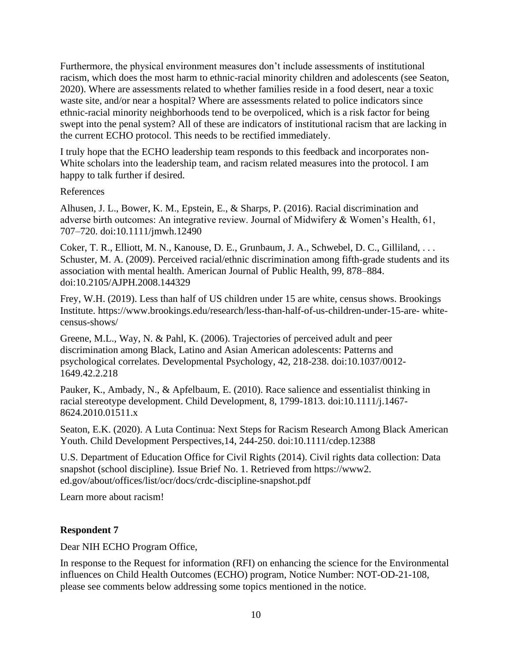Furthermore, the physical environment measures don't include assessments of institutional racism, which does the most harm to ethnic-racial minority children and adolescents (see Seaton, 2020). Where are assessments related to whether families reside in a food desert, near a toxic waste site, and/or near a hospital? Where are assessments related to police indicators since ethnic-racial minority neighborhoods tend to be overpoliced, which is a risk factor for being swept into the penal system? All of these are indicators of institutional racism that are lacking in the current ECHO protocol. This needs to be rectified immediately.

I truly hope that the ECHO leadership team responds to this feedback and incorporates non-White scholars into the leadership team, and racism related measures into the protocol. I am happy to talk further if desired.

#### References

Alhusen, J. L., Bower, K. M., Epstein, E., & Sharps, P. (2016). Racial discrimination and adverse birth outcomes: An integrative review. Journal of Midwifery & Women's Health, 61, 707–720. doi:10.1111/jmwh.12490

Coker, T. R., Elliott, M. N., Kanouse, D. E., Grunbaum, J. A., Schwebel, D. C., Gilliland, . . . Schuster, M. A. (2009). Perceived racial/ethnic discrimination among fifth-grade students and its association with mental health. American Journal of Public Health, 99, 878–884. doi:10.2105/AJPH.2008.144329

Frey, W.H. (2019). Less than half of US children under 15 are white, census shows. Brookings Institute. https://www.brookings.edu/research/less-than-half-of-us-children-under-15-are- whitecensus-shows/

Greene, M.L., Way, N. & Pahl, K. (2006). Trajectories of perceived adult and peer discrimination among Black, Latino and Asian American adolescents: Patterns and psychological correlates. Developmental Psychology, 42, 218-238. doi:10.1037/0012- 1649.42.2.218

Pauker, K., Ambady, N., & Apfelbaum, E. (2010). Race salience and essentialist thinking in racial stereotype development. Child Development, 8, 1799-1813. doi:10.1111/j.1467- 8624.2010.01511.x

Seaton, E.K. (2020). A Luta Continua: Next Steps for Racism Research Among Black American Youth. Child Development Perspectives,14, 244-250. doi:10.1111/cdep.12388

U.S. Department of Education Office for Civil Rights (2014). Civil rights data collection: Data snapshot (school discipline). Issue Brief No. 1. Retrieved from https://www2. ed.gov/about/offices/list/ocr/docs/crdc-discipline-snapshot.pdf

Learn more about racism!

#### **Respondent 7**

Dear NIH ECHO Program Office,

In response to the Request for information (RFI) on enhancing the science for the Environmental influences on Child Health Outcomes (ECHO) program, Notice Number: NOT-OD-21-108, please see comments below addressing some topics mentioned in the notice.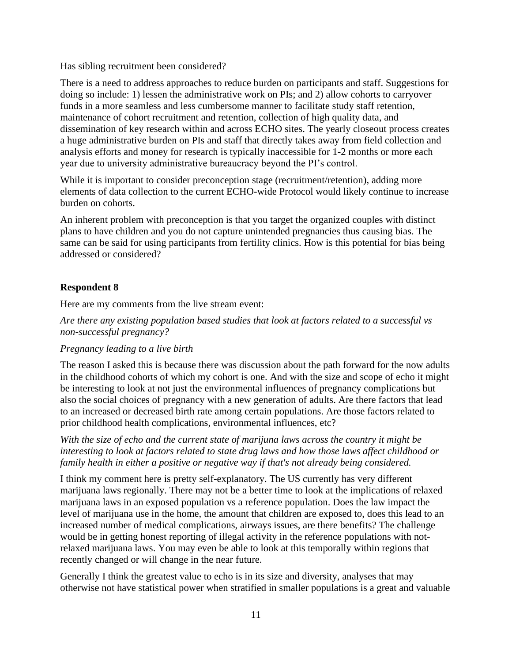Has sibling recruitment been considered?

There is a need to address approaches to reduce burden on participants and staff. Suggestions for doing so include: 1) lessen the administrative work on PIs; and 2) allow cohorts to carryover funds in a more seamless and less cumbersome manner to facilitate study staff retention, maintenance of cohort recruitment and retention, collection of high quality data, and dissemination of key research within and across ECHO sites. The yearly closeout process creates a huge administrative burden on PIs and staff that directly takes away from field collection and analysis efforts and money for research is typically inaccessible for 1-2 months or more each year due to university administrative bureaucracy beyond the PI's control.

While it is important to consider preconception stage (recruitment/retention), adding more elements of data collection to the current ECHO-wide Protocol would likely continue to increase burden on cohorts.

An inherent problem with preconception is that you target the organized couples with distinct plans to have children and you do not capture unintended pregnancies thus causing bias. The same can be said for using participants from fertility clinics. How is this potential for bias being addressed or considered?

# **Respondent 8**

Here are my comments from the live stream event:

*Are there any existing population based studies that look at factors related to a successful vs non-successful pregnancy?*

## *Pregnancy leading to a live birth*

The reason I asked this is because there was discussion about the path forward for the now adults in the childhood cohorts of which my cohort is one. And with the size and scope of echo it might be interesting to look at not just the environmental influences of pregnancy complications but also the social choices of pregnancy with a new generation of adults. Are there factors that lead to an increased or decreased birth rate among certain populations. Are those factors related to prior childhood health complications, environmental influences, etc?

*With the size of echo and the current state of marijuna laws across the country it might be interesting to look at factors related to state drug laws and how those laws affect childhood or family health in either a positive or negative way if that's not already being considered.*

I think my comment here is pretty self-explanatory. The US currently has very different marijuana laws regionally. There may not be a better time to look at the implications of relaxed marijuana laws in an exposed population vs a reference population. Does the law impact the level of marijuana use in the home, the amount that children are exposed to, does this lead to an increased number of medical complications, airways issues, are there benefits? The challenge would be in getting honest reporting of illegal activity in the reference populations with notrelaxed marijuana laws. You may even be able to look at this temporally within regions that recently changed or will change in the near future.

Generally I think the greatest value to echo is in its size and diversity, analyses that may otherwise not have statistical power when stratified in smaller populations is a great and valuable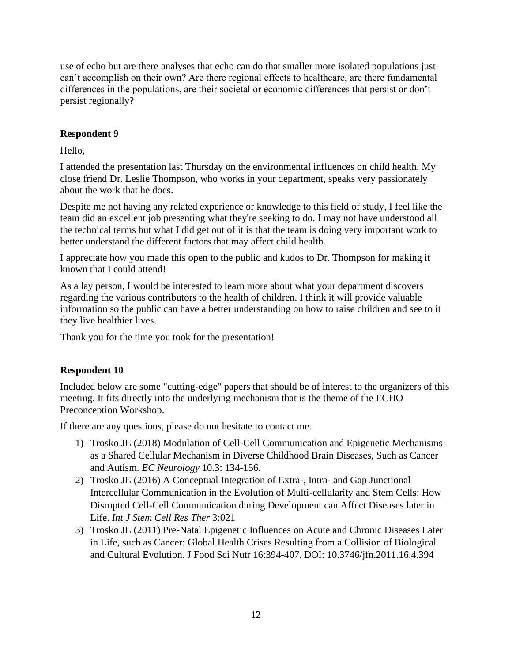use of echo but are there analyses that echo can do that smaller more isolated populations just can't accomplish on their own? Are there regional effects to healthcare, are there fundamental differences in the populations, are their societal or economic differences that persist or don't persist regionally?

## **Respondent 9**

Hello,

I attended the presentation last Thursday on the environmental influences on child health. My close friend Dr. Leslie Thompson, who works in your department, speaks very passionately about the work that he does.

Despite me not having any related experience or knowledge to this field of study, I feel like the team did an excellent job presenting what they're seeking to do. I may not have understood all the technical terms but what I did get out of it is that the team is doing very important work to better understand the different factors that may affect child health.

I appreciate how you made this open to the public and kudos to Dr. Thompson for making it known that I could attend!

As a lay person, I would be interested to learn more about what your department discovers regarding the various contributors to the health of children. I think it will provide valuable information so the public can have a better understanding on how to raise children and see to it they live healthier lives.

Thank you for the time you took for the presentation!

## **Respondent 10**

Included below are some "cutting-edge" papers that should be of interest to the organizers of this meeting. It fits directly into the underlying mechanism that is the theme of the ECHO Preconception Workshop.

If there are any questions, please do not hesitate to contact me.

- 1) Trosko JE (2018) Modulation of Cell-Cell Communication and Epigenetic Mechanisms as a Shared Cellular Mechanism in Diverse Childhood Brain Diseases, Such as Cancer and Autism. *EC Neurology* 10.3: 134-156.
- 2) Trosko JE (2016) A Conceptual Integration of Extra-, Intra- and Gap Junctional Intercellular Communication in the Evolution of Multi-cellularity and Stem Cells: How Disrupted Cell-Cell Communication during Development can Affect Diseases later in Life. *Int J Stem Cell Res Ther* 3:021
- 3) Trosko JE (2011) Pre-Natal Epigenetic Influences on Acute and Chronic Diseases Later in Life, such as Cancer: Global Health Crises Resulting from a Collision of Biological and Cultural Evolution. J Food Sci Nutr 16:394-407. DOI: 10.3746/jfn.2011.16.4.394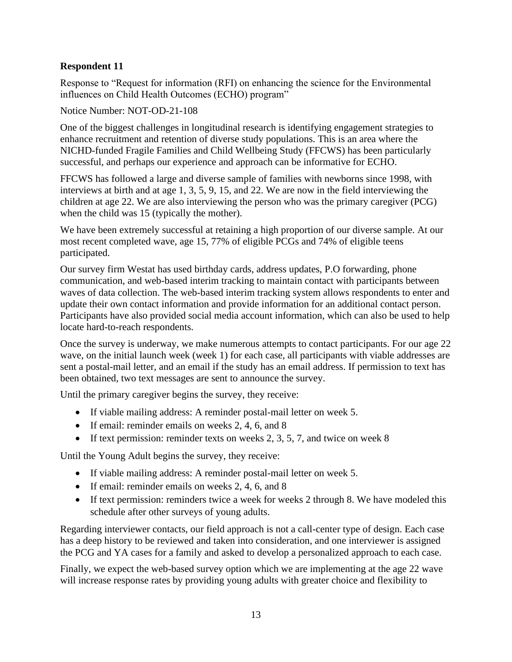## **Respondent 11**

Response to "Request for information (RFI) on enhancing the science for the Environmental influences on Child Health Outcomes (ECHO) program"

Notice Number: NOT-OD-21-108

One of the biggest challenges in longitudinal research is identifying engagement strategies to enhance recruitment and retention of diverse study populations. This is an area where the NICHD-funded Fragile Families and Child Wellbeing Study (FFCWS) has been particularly successful, and perhaps our experience and approach can be informative for ECHO.

FFCWS has followed a large and diverse sample of families with newborns since 1998, with interviews at birth and at age 1, 3, 5, 9, 15, and 22. We are now in the field interviewing the children at age 22. We are also interviewing the person who was the primary caregiver (PCG) when the child was 15 (typically the mother).

We have been extremely successful at retaining a high proportion of our diverse sample. At our most recent completed wave, age 15, 77% of eligible PCGs and 74% of eligible teens participated.

Our survey firm Westat has used birthday cards, address updates, P.O forwarding, phone communication, and web-based interim tracking to maintain contact with participants between waves of data collection. The web-based interim tracking system allows respondents to enter and update their own contact information and provide information for an additional contact person. Participants have also provided social media account information, which can also be used to help locate hard-to-reach respondents.

Once the survey is underway, we make numerous attempts to contact participants. For our age 22 wave, on the initial launch week (week 1) for each case, all participants with viable addresses are sent a postal-mail letter, and an email if the study has an email address. If permission to text has been obtained, two text messages are sent to announce the survey.

Until the primary caregiver begins the survey, they receive:

- If viable mailing address: A reminder postal-mail letter on week 5.
- If email: reminder emails on weeks 2, 4, 6, and 8
- If text permission: reminder texts on weeks  $2, 3, 5, 7$ , and twice on week 8

Until the Young Adult begins the survey, they receive:

- If viable mailing address: A reminder postal-mail letter on week 5.
- If email: reminder emails on weeks 2, 4, 6, and 8
- If text permission: reminders twice a week for weeks 2 through 8. We have modeled this schedule after other surveys of young adults.

Regarding interviewer contacts, our field approach is not a call-center type of design. Each case has a deep history to be reviewed and taken into consideration, and one interviewer is assigned the PCG and YA cases for a family and asked to develop a personalized approach to each case.

Finally, we expect the web-based survey option which we are implementing at the age 22 wave will increase response rates by providing young adults with greater choice and flexibility to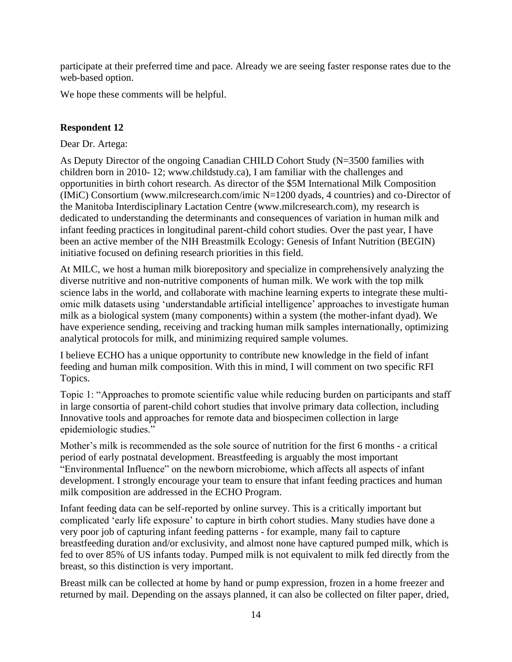participate at their preferred time and pace. Already we are seeing faster response rates due to the web-based option.

We hope these comments will be helpful.

#### **Respondent 12**

Dear Dr. Artega:

As Deputy Director of the ongoing Canadian CHILD Cohort Study (N=3500 families with children born in 2010- 12; www.childstudy.ca), I am familiar with the challenges and opportunities in birth cohort research. As director of the \$5M International Milk Composition (IMiC) Consortium (www.milcresearch.com/imic N=1200 dyads, 4 countries) and co-Director of the Manitoba Interdisciplinary Lactation Centre (www.milcresearch.com), my research is dedicated to understanding the determinants and consequences of variation in human milk and infant feeding practices in longitudinal parent-child cohort studies. Over the past year, I have been an active member of the NIH Breastmilk Ecology: Genesis of Infant Nutrition (BEGIN) initiative focused on defining research priorities in this field.

At MILC, we host a human milk biorepository and specialize in comprehensively analyzing the diverse nutritive and non-nutritive components of human milk. We work with the top milk science labs in the world, and collaborate with machine learning experts to integrate these multiomic milk datasets using 'understandable artificial intelligence' approaches to investigate human milk as a biological system (many components) within a system (the mother-infant dyad). We have experience sending, receiving and tracking human milk samples internationally, optimizing analytical protocols for milk, and minimizing required sample volumes.

I believe ECHO has a unique opportunity to contribute new knowledge in the field of infant feeding and human milk composition. With this in mind, I will comment on two specific RFI Topics.

Topic 1: "Approaches to promote scientific value while reducing burden on participants and staff in large consortia of parent-child cohort studies that involve primary data collection, including Innovative tools and approaches for remote data and biospecimen collection in large epidemiologic studies."

Mother's milk is recommended as the sole source of nutrition for the first 6 months - a critical period of early postnatal development. Breastfeeding is arguably the most important "Environmental Influence" on the newborn microbiome, which affects all aspects of infant development. I strongly encourage your team to ensure that infant feeding practices and human milk composition are addressed in the ECHO Program.

Infant feeding data can be self-reported by online survey. This is a critically important but complicated 'early life exposure' to capture in birth cohort studies. Many studies have done a very poor job of capturing infant feeding patterns - for example, many fail to capture breastfeeding duration and/or exclusivity, and almost none have captured pumped milk, which is fed to over 85% of US infants today. Pumped milk is not equivalent to milk fed directly from the breast, so this distinction is very important.

Breast milk can be collected at home by hand or pump expression, frozen in a home freezer and returned by mail. Depending on the assays planned, it can also be collected on filter paper, dried,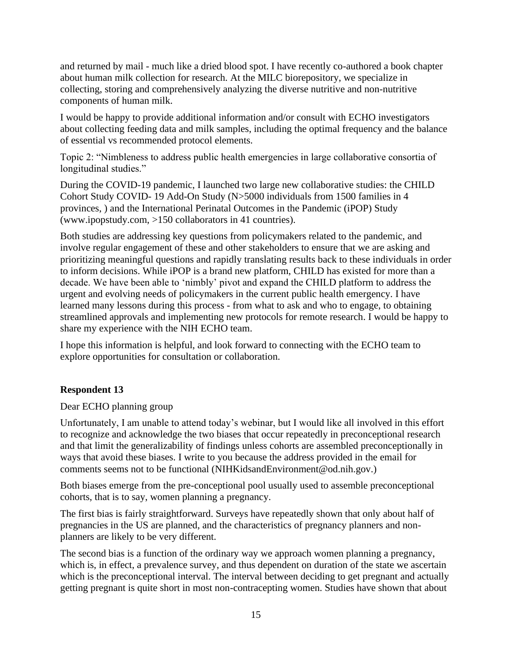and returned by mail - much like a dried blood spot. I have recently co-authored a book chapter about human milk collection for research. At the MILC biorepository, we specialize in collecting, storing and comprehensively analyzing the diverse nutritive and non-nutritive components of human milk.

I would be happy to provide additional information and/or consult with ECHO investigators about collecting feeding data and milk samples, including the optimal frequency and the balance of essential vs recommended protocol elements.

Topic 2: "Nimbleness to address public health emergencies in large collaborative consortia of longitudinal studies."

During the COVID-19 pandemic, I launched two large new collaborative studies: the CHILD Cohort Study COVID- 19 Add-On Study (N>5000 individuals from 1500 families in 4 provinces, ) and the International Perinatal Outcomes in the Pandemic (iPOP) Study (www.ipopstudy.com, >150 collaborators in 41 countries).

Both studies are addressing key questions from policymakers related to the pandemic, and involve regular engagement of these and other stakeholders to ensure that we are asking and prioritizing meaningful questions and rapidly translating results back to these individuals in order to inform decisions. While iPOP is a brand new platform, CHILD has existed for more than a decade. We have been able to 'nimbly' pivot and expand the CHILD platform to address the urgent and evolving needs of policymakers in the current public health emergency. I have learned many lessons during this process - from what to ask and who to engage, to obtaining streamlined approvals and implementing new protocols for remote research. I would be happy to share my experience with the NIH ECHO team.

I hope this information is helpful, and look forward to connecting with the ECHO team to explore opportunities for consultation or collaboration.

## **Respondent 13**

Dear ECHO planning group

Unfortunately, I am unable to attend today's webinar, but I would like all involved in this effort to recognize and acknowledge the two biases that occur repeatedly in preconceptional research and that limit the generalizability of findings unless cohorts are assembled preconceptionally in ways that avoid these biases. I write to you because the address provided in the email for comments seems not to be functional (NIHKidsandEnvironment@od.nih.gov.)

Both biases emerge from the pre-conceptional pool usually used to assemble preconceptional cohorts, that is to say, women planning a pregnancy.

The first bias is fairly straightforward. Surveys have repeatedly shown that only about half of pregnancies in the US are planned, and the characteristics of pregnancy planners and nonplanners are likely to be very different.

The second bias is a function of the ordinary way we approach women planning a pregnancy, which is, in effect, a prevalence survey, and thus dependent on duration of the state we ascertain which is the preconceptional interval. The interval between deciding to get pregnant and actually getting pregnant is quite short in most non-contracepting women. Studies have shown that about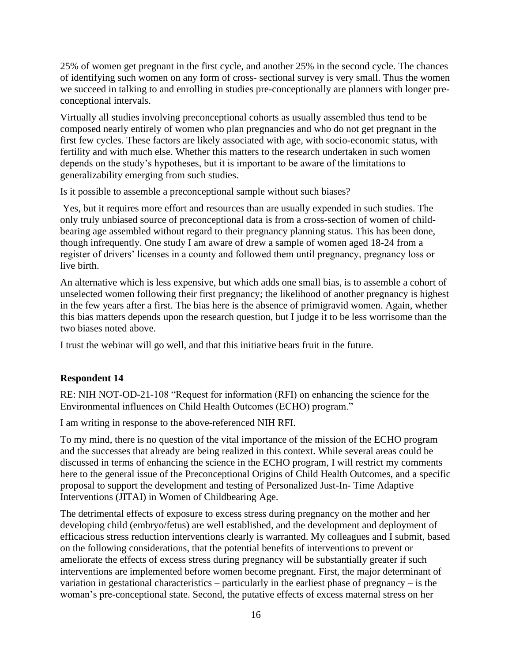25% of women get pregnant in the first cycle, and another 25% in the second cycle. The chances of identifying such women on any form of cross- sectional survey is very small. Thus the women we succeed in talking to and enrolling in studies pre-conceptionally are planners with longer preconceptional intervals.

Virtually all studies involving preconceptional cohorts as usually assembled thus tend to be composed nearly entirely of women who plan pregnancies and who do not get pregnant in the first few cycles. These factors are likely associated with age, with socio-economic status, with fertility and with much else. Whether this matters to the research undertaken in such women depends on the study's hypotheses, but it is important to be aware of the limitations to generalizability emerging from such studies.

Is it possible to assemble a preconceptional sample without such biases?

Yes, but it requires more effort and resources than are usually expended in such studies. The only truly unbiased source of preconceptional data is from a cross-section of women of childbearing age assembled without regard to their pregnancy planning status. This has been done, though infrequently. One study I am aware of drew a sample of women aged 18-24 from a register of drivers' licenses in a county and followed them until pregnancy, pregnancy loss or live birth.

An alternative which is less expensive, but which adds one small bias, is to assemble a cohort of unselected women following their first pregnancy; the likelihood of another pregnancy is highest in the few years after a first. The bias here is the absence of primigravid women. Again, whether this bias matters depends upon the research question, but I judge it to be less worrisome than the two biases noted above.

I trust the webinar will go well, and that this initiative bears fruit in the future.

## **Respondent 14**

RE: NIH NOT-OD-21-108 "Request for information (RFI) on enhancing the science for the Environmental influences on Child Health Outcomes (ECHO) program."

I am writing in response to the above-referenced NIH RFI.

To my mind, there is no question of the vital importance of the mission of the ECHO program and the successes that already are being realized in this context. While several areas could be discussed in terms of enhancing the science in the ECHO program, I will restrict my comments here to the general issue of the Preconceptional Origins of Child Health Outcomes, and a specific proposal to support the development and testing of Personalized Just-In- Time Adaptive Interventions (JITAI) in Women of Childbearing Age.

The detrimental effects of exposure to excess stress during pregnancy on the mother and her developing child (embryo/fetus) are well established, and the development and deployment of efficacious stress reduction interventions clearly is warranted. My colleagues and I submit, based on the following considerations, that the potential benefits of interventions to prevent or ameliorate the effects of excess stress during pregnancy will be substantially greater if such interventions are implemented before women become pregnant. First, the major determinant of variation in gestational characteristics – particularly in the earliest phase of pregnancy – is the woman's pre-conceptional state. Second, the putative effects of excess maternal stress on her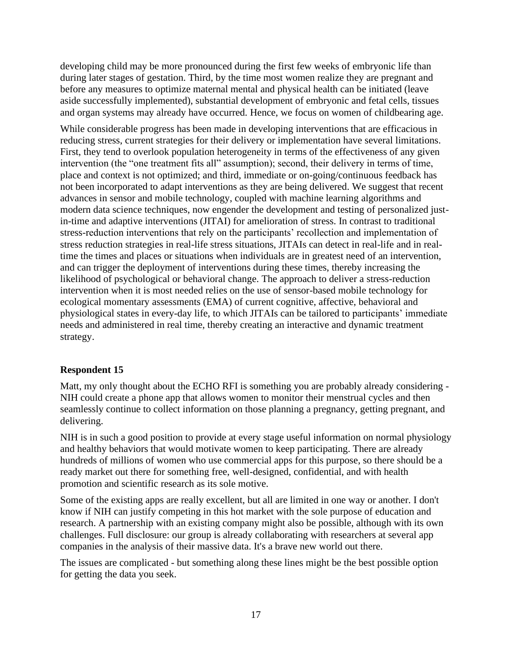developing child may be more pronounced during the first few weeks of embryonic life than during later stages of gestation. Third, by the time most women realize they are pregnant and before any measures to optimize maternal mental and physical health can be initiated (leave aside successfully implemented), substantial development of embryonic and fetal cells, tissues and organ systems may already have occurred. Hence, we focus on women of childbearing age.

While considerable progress has been made in developing interventions that are efficacious in reducing stress, current strategies for their delivery or implementation have several limitations. First, they tend to overlook population heterogeneity in terms of the effectiveness of any given intervention (the "one treatment fits all" assumption); second, their delivery in terms of time, place and context is not optimized; and third, immediate or on-going/continuous feedback has not been incorporated to adapt interventions as they are being delivered. We suggest that recent advances in sensor and mobile technology, coupled with machine learning algorithms and modern data science techniques, now engender the development and testing of personalized justin-time and adaptive interventions (JITAI) for amelioration of stress. In contrast to traditional stress-reduction interventions that rely on the participants' recollection and implementation of stress reduction strategies in real-life stress situations, JITAIs can detect in real-life and in realtime the times and places or situations when individuals are in greatest need of an intervention, and can trigger the deployment of interventions during these times, thereby increasing the likelihood of psychological or behavioral change. The approach to deliver a stress-reduction intervention when it is most needed relies on the use of sensor-based mobile technology for ecological momentary assessments (EMA) of current cognitive, affective, behavioral and physiological states in every-day life, to which JITAIs can be tailored to participants' immediate needs and administered in real time, thereby creating an interactive and dynamic treatment strategy.

#### **Respondent 15**

Matt, my only thought about the ECHO RFI is something you are probably already considering - NIH could create a phone app that allows women to monitor their menstrual cycles and then seamlessly continue to collect information on those planning a pregnancy, getting pregnant, and delivering.

NIH is in such a good position to provide at every stage useful information on normal physiology and healthy behaviors that would motivate women to keep participating. There are already hundreds of millions of women who use commercial apps for this purpose, so there should be a ready market out there for something free, well-designed, confidential, and with health promotion and scientific research as its sole motive.

Some of the existing apps are really excellent, but all are limited in one way or another. I don't know if NIH can justify competing in this hot market with the sole purpose of education and research. A partnership with an existing company might also be possible, although with its own challenges. Full disclosure: our group is already collaborating with researchers at several app companies in the analysis of their massive data. It's a brave new world out there.

The issues are complicated - but something along these lines might be the best possible option for getting the data you seek.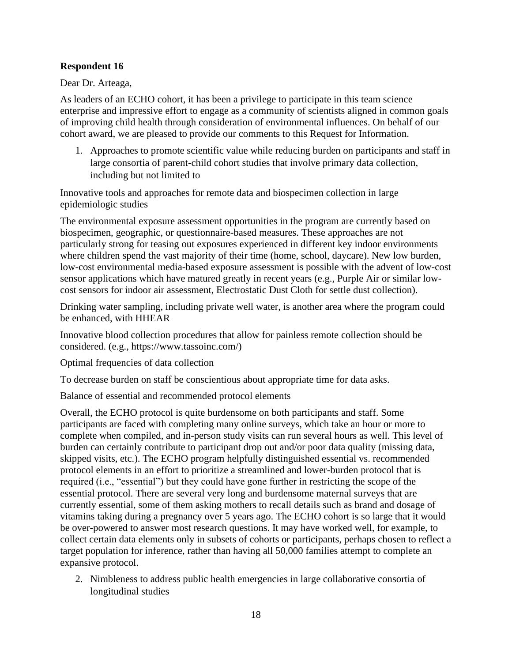#### **Respondent 16**

Dear Dr. Arteaga,

As leaders of an ECHO cohort, it has been a privilege to participate in this team science enterprise and impressive effort to engage as a community of scientists aligned in common goals of improving child health through consideration of environmental influences. On behalf of our cohort award, we are pleased to provide our comments to this Request for Information.

1. Approaches to promote scientific value while reducing burden on participants and staff in large consortia of parent-child cohort studies that involve primary data collection, including but not limited to

Innovative tools and approaches for remote data and biospecimen collection in large epidemiologic studies

The environmental exposure assessment opportunities in the program are currently based on biospecimen, geographic, or questionnaire-based measures. These approaches are not particularly strong for teasing out exposures experienced in different key indoor environments where children spend the vast majority of their time (home, school, daycare). New low burden, low-cost environmental media-based exposure assessment is possible with the advent of low-cost sensor applications which have matured greatly in recent years (e.g., Purple Air or similar lowcost sensors for indoor air assessment, Electrostatic Dust Cloth for settle dust collection).

Drinking water sampling, including private well water, is another area where the program could be enhanced, with HHEAR

Innovative blood collection procedures that allow for painless remote collection should be considered. (e.g., https://www.tassoinc.com/)

Optimal frequencies of data collection

To decrease burden on staff be conscientious about appropriate time for data asks.

Balance of essential and recommended protocol elements

Overall, the ECHO protocol is quite burdensome on both participants and staff. Some participants are faced with completing many online surveys, which take an hour or more to complete when compiled, and in-person study visits can run several hours as well. This level of burden can certainly contribute to participant drop out and/or poor data quality (missing data, skipped visits, etc.). The ECHO program helpfully distinguished essential vs. recommended protocol elements in an effort to prioritize a streamlined and lower-burden protocol that is required (i.e., "essential") but they could have gone further in restricting the scope of the essential protocol. There are several very long and burdensome maternal surveys that are currently essential, some of them asking mothers to recall details such as brand and dosage of vitamins taking during a pregnancy over 5 years ago. The ECHO cohort is so large that it would be over-powered to answer most research questions. It may have worked well, for example, to collect certain data elements only in subsets of cohorts or participants, perhaps chosen to reflect a target population for inference, rather than having all 50,000 families attempt to complete an expansive protocol.

2. Nimbleness to address public health emergencies in large collaborative consortia of longitudinal studies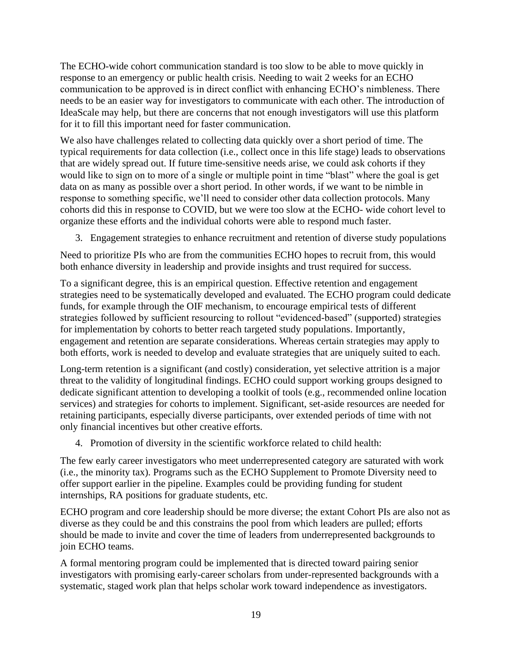The ECHO-wide cohort communication standard is too slow to be able to move quickly in response to an emergency or public health crisis. Needing to wait 2 weeks for an ECHO communication to be approved is in direct conflict with enhancing ECHO's nimbleness. There needs to be an easier way for investigators to communicate with each other. The introduction of IdeaScale may help, but there are concerns that not enough investigators will use this platform for it to fill this important need for faster communication.

We also have challenges related to collecting data quickly over a short period of time. The typical requirements for data collection (i.e., collect once in this life stage) leads to observations that are widely spread out. If future time-sensitive needs arise, we could ask cohorts if they would like to sign on to more of a single or multiple point in time "blast" where the goal is get data on as many as possible over a short period. In other words, if we want to be nimble in response to something specific, we'll need to consider other data collection protocols. Many cohorts did this in response to COVID, but we were too slow at the ECHO- wide cohort level to organize these efforts and the individual cohorts were able to respond much faster.

3. Engagement strategies to enhance recruitment and retention of diverse study populations

Need to prioritize PIs who are from the communities ECHO hopes to recruit from, this would both enhance diversity in leadership and provide insights and trust required for success.

To a significant degree, this is an empirical question. Effective retention and engagement strategies need to be systematically developed and evaluated. The ECHO program could dedicate funds, for example through the OIF mechanism, to encourage empirical tests of different strategies followed by sufficient resourcing to rollout "evidenced-based" (supported) strategies for implementation by cohorts to better reach targeted study populations. Importantly, engagement and retention are separate considerations. Whereas certain strategies may apply to both efforts, work is needed to develop and evaluate strategies that are uniquely suited to each.

Long-term retention is a significant (and costly) consideration, yet selective attrition is a major threat to the validity of longitudinal findings. ECHO could support working groups designed to dedicate significant attention to developing a toolkit of tools (e.g., recommended online location services) and strategies for cohorts to implement. Significant, set-aside resources are needed for retaining participants, especially diverse participants, over extended periods of time with not only financial incentives but other creative efforts.

4. Promotion of diversity in the scientific workforce related to child health:

The few early career investigators who meet underrepresented category are saturated with work (i.e., the minority tax). Programs such as the ECHO Supplement to Promote Diversity need to offer support earlier in the pipeline. Examples could be providing funding for student internships, RA positions for graduate students, etc.

ECHO program and core leadership should be more diverse; the extant Cohort PIs are also not as diverse as they could be and this constrains the pool from which leaders are pulled; efforts should be made to invite and cover the time of leaders from underrepresented backgrounds to join ECHO teams.

A formal mentoring program could be implemented that is directed toward pairing senior investigators with promising early-career scholars from under-represented backgrounds with a systematic, staged work plan that helps scholar work toward independence as investigators.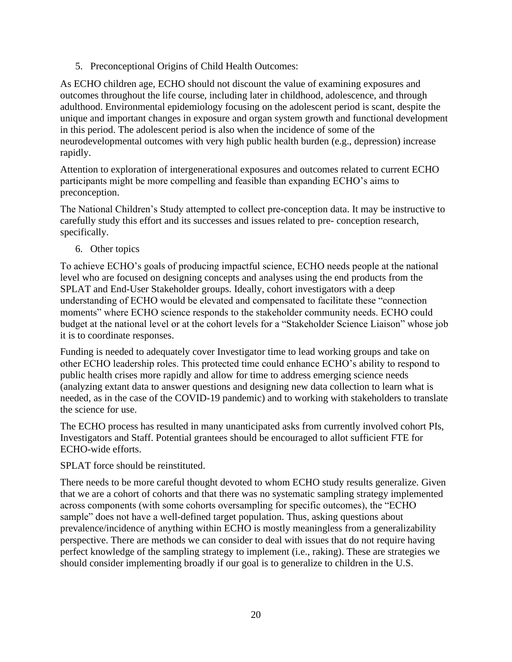5. Preconceptional Origins of Child Health Outcomes:

As ECHO children age, ECHO should not discount the value of examining exposures and outcomes throughout the life course, including later in childhood, adolescence, and through adulthood. Environmental epidemiology focusing on the adolescent period is scant, despite the unique and important changes in exposure and organ system growth and functional development in this period. The adolescent period is also when the incidence of some of the neurodevelopmental outcomes with very high public health burden (e.g., depression) increase rapidly.

Attention to exploration of intergenerational exposures and outcomes related to current ECHO participants might be more compelling and feasible than expanding ECHO's aims to preconception.

The National Children's Study attempted to collect pre-conception data. It may be instructive to carefully study this effort and its successes and issues related to pre- conception research, specifically.

6. Other topics

To achieve ECHO's goals of producing impactful science, ECHO needs people at the national level who are focused on designing concepts and analyses using the end products from the SPLAT and End-User Stakeholder groups. Ideally, cohort investigators with a deep understanding of ECHO would be elevated and compensated to facilitate these "connection moments" where ECHO science responds to the stakeholder community needs. ECHO could budget at the national level or at the cohort levels for a "Stakeholder Science Liaison" whose job it is to coordinate responses.

Funding is needed to adequately cover Investigator time to lead working groups and take on other ECHO leadership roles. This protected time could enhance ECHO's ability to respond to public health crises more rapidly and allow for time to address emerging science needs (analyzing extant data to answer questions and designing new data collection to learn what is needed, as in the case of the COVID-19 pandemic) and to working with stakeholders to translate the science for use.

The ECHO process has resulted in many unanticipated asks from currently involved cohort PIs, Investigators and Staff. Potential grantees should be encouraged to allot sufficient FTE for ECHO-wide efforts.

SPLAT force should be reinstituted.

There needs to be more careful thought devoted to whom ECHO study results generalize. Given that we are a cohort of cohorts and that there was no systematic sampling strategy implemented across components (with some cohorts oversampling for specific outcomes), the "ECHO sample" does not have a well-defined target population. Thus, asking questions about prevalence/incidence of anything within ECHO is mostly meaningless from a generalizability perspective. There are methods we can consider to deal with issues that do not require having perfect knowledge of the sampling strategy to implement (i.e., raking). These are strategies we should consider implementing broadly if our goal is to generalize to children in the U.S.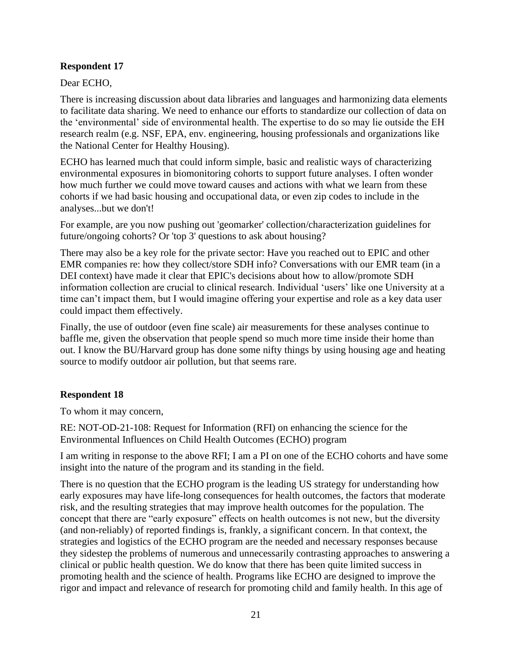#### **Respondent 17**

Dear ECHO,

There is increasing discussion about data libraries and languages and harmonizing data elements to facilitate data sharing. We need to enhance our efforts to standardize our collection of data on the 'environmental' side of environmental health. The expertise to do so may lie outside the EH research realm (e.g. NSF, EPA, env. engineering, housing professionals and organizations like the National Center for Healthy Housing).

ECHO has learned much that could inform simple, basic and realistic ways of characterizing environmental exposures in biomonitoring cohorts to support future analyses. I often wonder how much further we could move toward causes and actions with what we learn from these cohorts if we had basic housing and occupational data, or even zip codes to include in the analyses...but we don't!

For example, are you now pushing out 'geomarker' collection/characterization guidelines for future/ongoing cohorts? Or 'top 3' questions to ask about housing?

There may also be a key role for the private sector: Have you reached out to EPIC and other EMR companies re: how they collect/store SDH info? Conversations with our EMR team (in a DEI context) have made it clear that EPIC's decisions about how to allow/promote SDH information collection are crucial to clinical research. Individual 'users' like one University at a time can't impact them, but I would imagine offering your expertise and role as a key data user could impact them effectively.

Finally, the use of outdoor (even fine scale) air measurements for these analyses continue to baffle me, given the observation that people spend so much more time inside their home than out. I know the BU/Harvard group has done some nifty things by using housing age and heating source to modify outdoor air pollution, but that seems rare.

## **Respondent 18**

To whom it may concern,

RE: NOT-OD-21-108: Request for Information (RFI) on enhancing the science for the Environmental Influences on Child Health Outcomes (ECHO) program

I am writing in response to the above RFI; I am a PI on one of the ECHO cohorts and have some insight into the nature of the program and its standing in the field.

There is no question that the ECHO program is the leading US strategy for understanding how early exposures may have life-long consequences for health outcomes, the factors that moderate risk, and the resulting strategies that may improve health outcomes for the population. The concept that there are "early exposure" effects on health outcomes is not new, but the diversity (and non-reliably) of reported findings is, frankly, a significant concern. In that context, the strategies and logistics of the ECHO program are the needed and necessary responses because they sidestep the problems of numerous and unnecessarily contrasting approaches to answering a clinical or public health question. We do know that there has been quite limited success in promoting health and the science of health. Programs like ECHO are designed to improve the rigor and impact and relevance of research for promoting child and family health. In this age of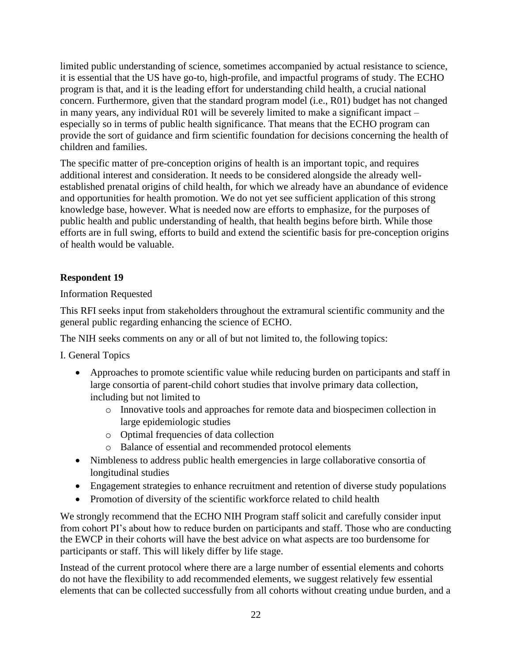limited public understanding of science, sometimes accompanied by actual resistance to science, it is essential that the US have go-to, high-profile, and impactful programs of study. The ECHO program is that, and it is the leading effort for understanding child health, a crucial national concern. Furthermore, given that the standard program model (i.e., R01) budget has not changed in many years, any individual R01 will be severely limited to make a significant impact – especially so in terms of public health significance. That means that the ECHO program can provide the sort of guidance and firm scientific foundation for decisions concerning the health of children and families.

The specific matter of pre-conception origins of health is an important topic, and requires additional interest and consideration. It needs to be considered alongside the already wellestablished prenatal origins of child health, for which we already have an abundance of evidence and opportunities for health promotion. We do not yet see sufficient application of this strong knowledge base, however. What is needed now are efforts to emphasize, for the purposes of public health and public understanding of health, that health begins before birth. While those efforts are in full swing, efforts to build and extend the scientific basis for pre-conception origins of health would be valuable.

## **Respondent 19**

## Information Requested

This RFI seeks input from stakeholders throughout the extramural scientific community and the general public regarding enhancing the science of ECHO.

The NIH seeks comments on any or all of but not limited to, the following topics:

I. General Topics

- Approaches to promote scientific value while reducing burden on participants and staff in large consortia of parent-child cohort studies that involve primary data collection, including but not limited to
	- o Innovative tools and approaches for remote data and biospecimen collection in large epidemiologic studies
	- o Optimal frequencies of data collection
	- o Balance of essential and recommended protocol elements
- Nimbleness to address public health emergencies in large collaborative consortia of longitudinal studies
- Engagement strategies to enhance recruitment and retention of diverse study populations
- Promotion of diversity of the scientific workforce related to child health

We strongly recommend that the ECHO NIH Program staff solicit and carefully consider input from cohort PI's about how to reduce burden on participants and staff. Those who are conducting the EWCP in their cohorts will have the best advice on what aspects are too burdensome for participants or staff. This will likely differ by life stage.

Instead of the current protocol where there are a large number of essential elements and cohorts do not have the flexibility to add recommended elements, we suggest relatively few essential elements that can be collected successfully from all cohorts without creating undue burden, and a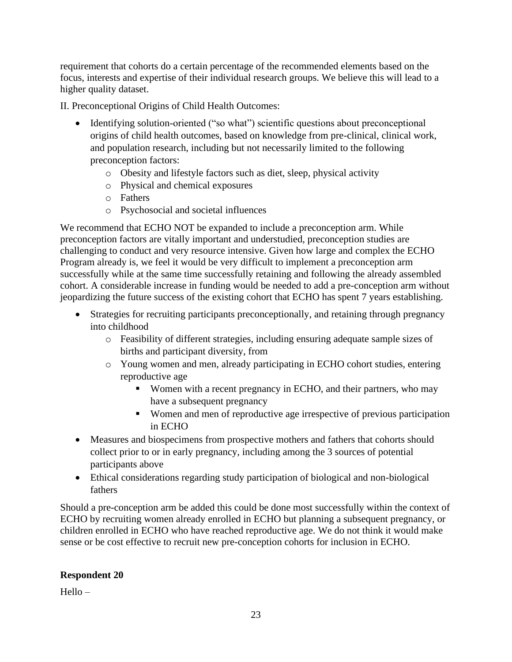requirement that cohorts do a certain percentage of the recommended elements based on the focus, interests and expertise of their individual research groups. We believe this will lead to a higher quality dataset.

II. Preconceptional Origins of Child Health Outcomes:

- Identifying solution-oriented ("so what") scientific questions about preconceptional origins of child health outcomes, based on knowledge from pre-clinical, clinical work, and population research, including but not necessarily limited to the following preconception factors:
	- o Obesity and lifestyle factors such as diet, sleep, physical activity
	- o Physical and chemical exposures
	- o Fathers
	- o Psychosocial and societal influences

We recommend that ECHO NOT be expanded to include a preconception arm. While preconception factors are vitally important and understudied, preconception studies are challenging to conduct and very resource intensive. Given how large and complex the ECHO Program already is, we feel it would be very difficult to implement a preconception arm successfully while at the same time successfully retaining and following the already assembled cohort. A considerable increase in funding would be needed to add a pre-conception arm without jeopardizing the future success of the existing cohort that ECHO has spent 7 years establishing.

- Strategies for recruiting participants preconceptionally, and retaining through pregnancy into childhood
	- o Feasibility of different strategies, including ensuring adequate sample sizes of births and participant diversity, from
	- o Young women and men, already participating in ECHO cohort studies, entering reproductive age
		- Women with a recent pregnancy in ECHO, and their partners, who may have a subsequent pregnancy
		- Women and men of reproductive age irrespective of previous participation in ECHO
- Measures and biospecimens from prospective mothers and fathers that cohorts should collect prior to or in early pregnancy, including among the 3 sources of potential participants above
- Ethical considerations regarding study participation of biological and non-biological fathers

Should a pre-conception arm be added this could be done most successfully within the context of ECHO by recruiting women already enrolled in ECHO but planning a subsequent pregnancy, or children enrolled in ECHO who have reached reproductive age. We do not think it would make sense or be cost effective to recruit new pre-conception cohorts for inclusion in ECHO.

## **Respondent 20**

 $Hello -$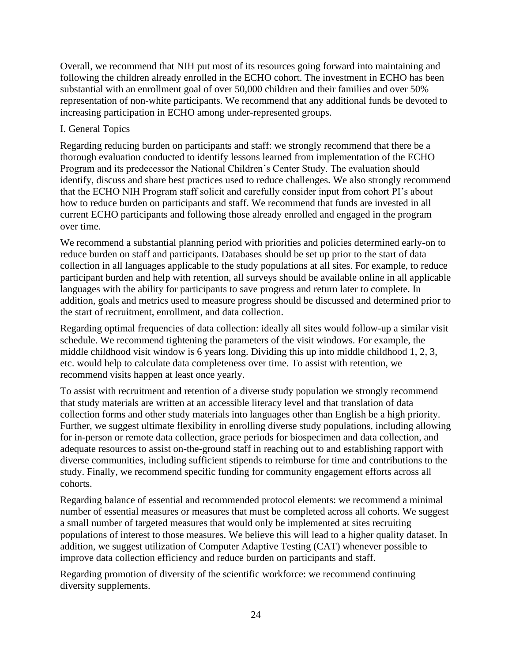Overall, we recommend that NIH put most of its resources going forward into maintaining and following the children already enrolled in the ECHO cohort. The investment in ECHO has been substantial with an enrollment goal of over 50,000 children and their families and over 50% representation of non-white participants. We recommend that any additional funds be devoted to increasing participation in ECHO among under-represented groups.

#### I. General Topics

Regarding reducing burden on participants and staff: we strongly recommend that there be a thorough evaluation conducted to identify lessons learned from implementation of the ECHO Program and its predecessor the National Children's Center Study. The evaluation should identify, discuss and share best practices used to reduce challenges. We also strongly recommend that the ECHO NIH Program staff solicit and carefully consider input from cohort PI's about how to reduce burden on participants and staff. We recommend that funds are invested in all current ECHO participants and following those already enrolled and engaged in the program over time.

We recommend a substantial planning period with priorities and policies determined early-on to reduce burden on staff and participants. Databases should be set up prior to the start of data collection in all languages applicable to the study populations at all sites. For example, to reduce participant burden and help with retention, all surveys should be available online in all applicable languages with the ability for participants to save progress and return later to complete. In addition, goals and metrics used to measure progress should be discussed and determined prior to the start of recruitment, enrollment, and data collection.

Regarding optimal frequencies of data collection: ideally all sites would follow-up a similar visit schedule. We recommend tightening the parameters of the visit windows. For example, the middle childhood visit window is 6 years long. Dividing this up into middle childhood 1, 2, 3, etc. would help to calculate data completeness over time. To assist with retention, we recommend visits happen at least once yearly.

To assist with recruitment and retention of a diverse study population we strongly recommend that study materials are written at an accessible literacy level and that translation of data collection forms and other study materials into languages other than English be a high priority. Further, we suggest ultimate flexibility in enrolling diverse study populations, including allowing for in-person or remote data collection, grace periods for biospecimen and data collection, and adequate resources to assist on-the-ground staff in reaching out to and establishing rapport with diverse communities, including sufficient stipends to reimburse for time and contributions to the study. Finally, we recommend specific funding for community engagement efforts across all cohorts.

Regarding balance of essential and recommended protocol elements: we recommend a minimal number of essential measures or measures that must be completed across all cohorts. We suggest a small number of targeted measures that would only be implemented at sites recruiting populations of interest to those measures. We believe this will lead to a higher quality dataset. In addition, we suggest utilization of Computer Adaptive Testing (CAT) whenever possible to improve data collection efficiency and reduce burden on participants and staff.

Regarding promotion of diversity of the scientific workforce: we recommend continuing diversity supplements.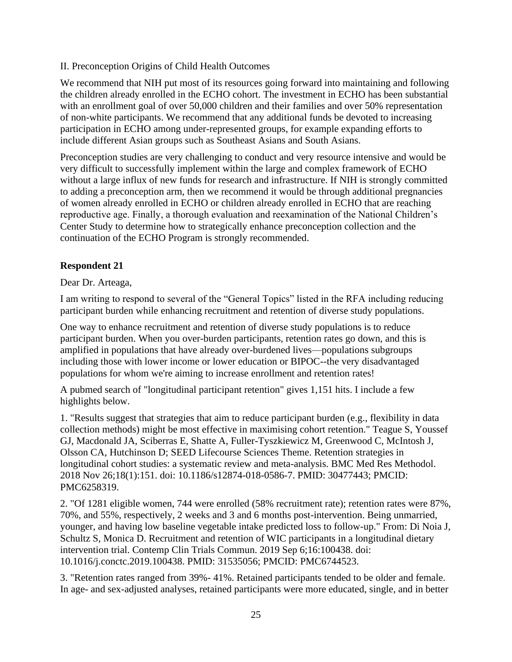#### II. Preconception Origins of Child Health Outcomes

We recommend that NIH put most of its resources going forward into maintaining and following the children already enrolled in the ECHO cohort. The investment in ECHO has been substantial with an enrollment goal of over 50,000 children and their families and over 50% representation of non-white participants. We recommend that any additional funds be devoted to increasing participation in ECHO among under-represented groups, for example expanding efforts to include different Asian groups such as Southeast Asians and South Asians.

Preconception studies are very challenging to conduct and very resource intensive and would be very difficult to successfully implement within the large and complex framework of ECHO without a large influx of new funds for research and infrastructure. If NIH is strongly committed to adding a preconception arm, then we recommend it would be through additional pregnancies of women already enrolled in ECHO or children already enrolled in ECHO that are reaching reproductive age. Finally, a thorough evaluation and reexamination of the National Children's Center Study to determine how to strategically enhance preconception collection and the continuation of the ECHO Program is strongly recommended.

#### **Respondent 21**

Dear Dr. Arteaga,

I am writing to respond to several of the "General Topics" listed in the RFA including reducing participant burden while enhancing recruitment and retention of diverse study populations.

One way to enhance recruitment and retention of diverse study populations is to reduce participant burden. When you over-burden participants, retention rates go down, and this is amplified in populations that have already over-burdened lives—populations subgroups including those with lower income or lower education or BIPOC--the very disadvantaged populations for whom we're aiming to increase enrollment and retention rates!

A pubmed search of "longitudinal participant retention" gives 1,151 hits. I include a few highlights below.

1. "Results suggest that strategies that aim to reduce participant burden (e.g., flexibility in data collection methods) might be most effective in maximising cohort retention." Teague S, Youssef GJ, Macdonald JA, Sciberras E, Shatte A, Fuller-Tyszkiewicz M, Greenwood C, McIntosh J, Olsson CA, Hutchinson D; SEED Lifecourse Sciences Theme. Retention strategies in longitudinal cohort studies: a systematic review and meta-analysis. BMC Med Res Methodol. 2018 Nov 26;18(1):151. doi: 10.1186/s12874-018-0586-7. PMID: 30477443; PMCID: PMC6258319.

2. "Of 1281 eligible women, 744 were enrolled (58% recruitment rate); retention rates were 87%, 70%, and 55%, respectively, 2 weeks and 3 and 6 months post-intervention. Being unmarried, younger, and having low baseline vegetable intake predicted loss to follow-up." From: Di Noia J, Schultz S, Monica D. Recruitment and retention of WIC participants in a longitudinal dietary intervention trial. Contemp Clin Trials Commun. 2019 Sep 6;16:100438. doi: 10.1016/j.conctc.2019.100438. PMID: 31535056; PMCID: PMC6744523.

3. "Retention rates ranged from 39%- 41%. Retained participants tended to be older and female. In age- and sex-adjusted analyses, retained participants were more educated, single, and in better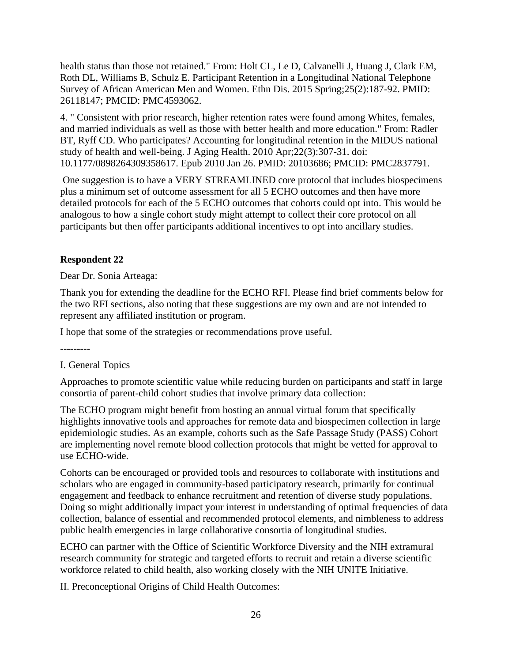health status than those not retained." From: Holt CL, Le D, Calvanelli J, Huang J, Clark EM, Roth DL, Williams B, Schulz E. Participant Retention in a Longitudinal National Telephone Survey of African American Men and Women. Ethn Dis. 2015 Spring;25(2):187-92. PMID: 26118147; PMCID: PMC4593062.

4. " Consistent with prior research, higher retention rates were found among Whites, females, and married individuals as well as those with better health and more education." From: Radler BT, Ryff CD. Who participates? Accounting for longitudinal retention in the MIDUS national study of health and well-being. J Aging Health. 2010 Apr;22(3):307-31. doi: 10.1177/0898264309358617. Epub 2010 Jan 26. PMID: 20103686; PMCID: PMC2837791.

One suggestion is to have a VERY STREAMLINED core protocol that includes biospecimens plus a minimum set of outcome assessment for all 5 ECHO outcomes and then have more detailed protocols for each of the 5 ECHO outcomes that cohorts could opt into. This would be analogous to how a single cohort study might attempt to collect their core protocol on all participants but then offer participants additional incentives to opt into ancillary studies.

## **Respondent 22**

Dear Dr. Sonia Arteaga:

Thank you for extending the deadline for the ECHO RFI. Please find brief comments below for the two RFI sections, also noting that these suggestions are my own and are not intended to represent any affiliated institution or program.

I hope that some of the strategies or recommendations prove useful.

---------

## I. General Topics

Approaches to promote scientific value while reducing burden on participants and staff in large consortia of parent-child cohort studies that involve primary data collection:

The ECHO program might benefit from hosting an annual virtual forum that specifically highlights innovative tools and approaches for remote data and biospecimen collection in large epidemiologic studies. As an example, cohorts such as the Safe Passage Study (PASS) Cohort are implementing novel remote blood collection protocols that might be vetted for approval to use ECHO-wide.

Cohorts can be encouraged or provided tools and resources to collaborate with institutions and scholars who are engaged in community-based participatory research, primarily for continual engagement and feedback to enhance recruitment and retention of diverse study populations. Doing so might additionally impact your interest in understanding of optimal frequencies of data collection, balance of essential and recommended protocol elements, and nimbleness to address public health emergencies in large collaborative consortia of longitudinal studies.

ECHO can partner with the Office of Scientific Workforce Diversity and the NIH extramural research community for strategic and targeted efforts to recruit and retain a diverse scientific workforce related to child health, also working closely with the NIH UNITE Initiative.

II. Preconceptional Origins of Child Health Outcomes: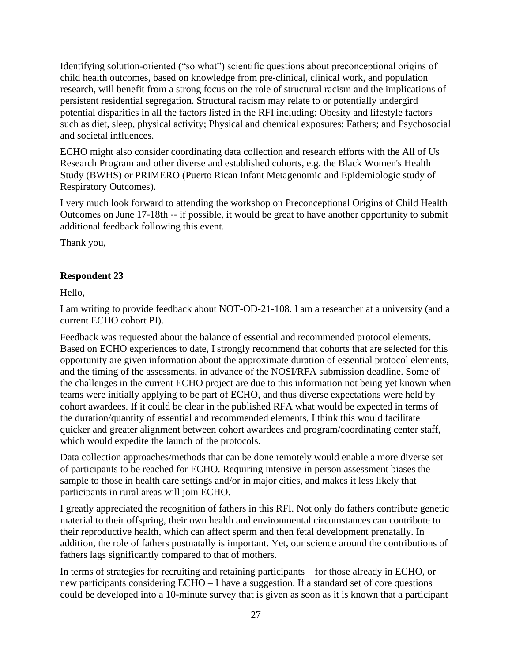Identifying solution-oriented ("so what") scientific questions about preconceptional origins of child health outcomes, based on knowledge from pre-clinical, clinical work, and population research, will benefit from a strong focus on the role of structural racism and the implications of persistent residential segregation. Structural racism may relate to or potentially undergird potential disparities in all the factors listed in the RFI including: Obesity and lifestyle factors such as diet, sleep, physical activity; Physical and chemical exposures; Fathers; and Psychosocial and societal influences.

ECHO might also consider coordinating data collection and research efforts with the All of Us Research Program and other diverse and established cohorts, e.g. the Black Women's Health Study (BWHS) or PRIMERO (Puerto Rican Infant Metagenomic and Epidemiologic study of Respiratory Outcomes).

I very much look forward to attending the workshop on Preconceptional Origins of Child Health Outcomes on June 17-18th -- if possible, it would be great to have another opportunity to submit additional feedback following this event.

Thank you,

# **Respondent 23**

Hello,

I am writing to provide feedback about NOT-OD-21-108. I am a researcher at a university (and a current ECHO cohort PI).

Feedback was requested about the balance of essential and recommended protocol elements. Based on ECHO experiences to date, I strongly recommend that cohorts that are selected for this opportunity are given information about the approximate duration of essential protocol elements, and the timing of the assessments, in advance of the NOSI/RFA submission deadline. Some of the challenges in the current ECHO project are due to this information not being yet known when teams were initially applying to be part of ECHO, and thus diverse expectations were held by cohort awardees. If it could be clear in the published RFA what would be expected in terms of the duration/quantity of essential and recommended elements, I think this would facilitate quicker and greater alignment between cohort awardees and program/coordinating center staff, which would expedite the launch of the protocols.

Data collection approaches/methods that can be done remotely would enable a more diverse set of participants to be reached for ECHO. Requiring intensive in person assessment biases the sample to those in health care settings and/or in major cities, and makes it less likely that participants in rural areas will join ECHO.

I greatly appreciated the recognition of fathers in this RFI. Not only do fathers contribute genetic material to their offspring, their own health and environmental circumstances can contribute to their reproductive health, which can affect sperm and then fetal development prenatally. In addition, the role of fathers postnatally is important. Yet, our science around the contributions of fathers lags significantly compared to that of mothers.

In terms of strategies for recruiting and retaining participants – for those already in ECHO, or new participants considering ECHO – I have a suggestion. If a standard set of core questions could be developed into a 10-minute survey that is given as soon as it is known that a participant